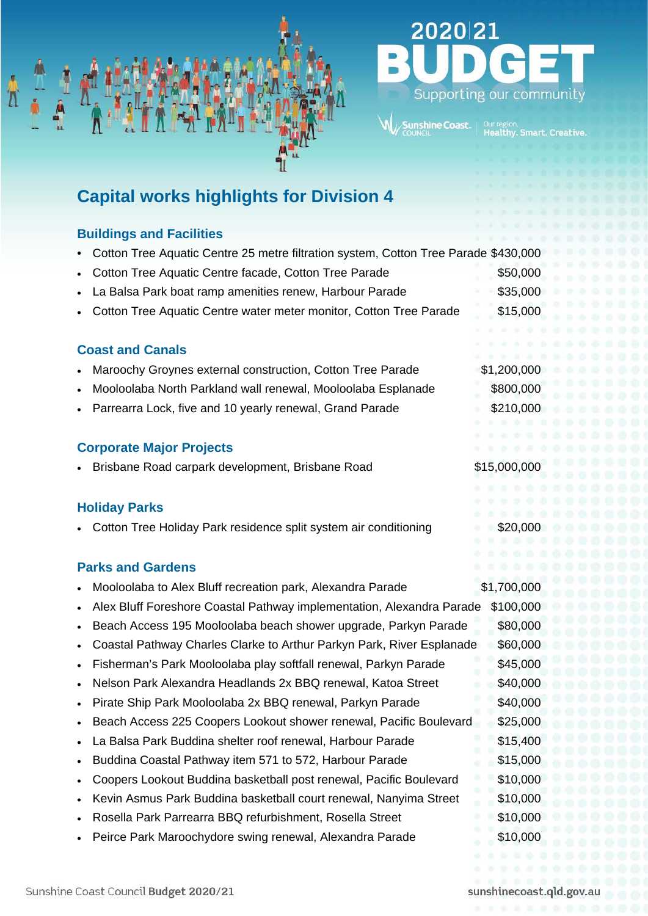

# 2020 21 Supporting our community

# **Capital works highlights for Division 4**

# **Buildings and Facilities**

- Cotton Tree Aquatic Centre 25 metre filtration system, Cotton Tree Parade \$430,000
- Cotton Tree Aquatic Centre facade, Cotton Tree Parade \$50,000
- La Balsa Park boat ramp amenities renew, Harbour Parade  $$35,000$
- Cotton Tree Aquatic Centre water meter monitor, Cotton Tree Parade \$15,000

# **Coast and Canals**

- Maroochy Groynes external construction, Cotton Tree Parade \$1,200,000
- Mooloolaba North Parkland wall renewal, Mooloolaba Esplanade \$800,000
- Parrearra Lock, five and 10 yearly renewal, Grand Parade \$210,000

# **Corporate Major Projects**

• Brisbane Road carpark development, Brisbane Road \$15,000,000

# **Holiday Parks**

• Cotton Tree Holiday Park residence split system air conditioning \$20,000

# **Parks and Gardens**

• Mooloolaba to Alex Bluff recreation park, Alexandra Parade \$1,700,000 • Alex Bluff Foreshore Coastal Pathway implementation, Alexandra Parade \$100,000 • Beach Access 195 Mooloolaba beach shower upgrade, Parkyn Parade \$80,000 • Coastal Pathway Charles Clarke to Arthur Parkyn Park, River Esplanade \$60,000 • Fisherman's Park Mooloolaba play softfall renewal, Parkyn Parade \$45,000 Nelson Park Alexandra Headlands 2x BBQ renewal, Katoa Street \$40,000 • Pirate Ship Park Mooloolaba 2x BBQ renewal, Parkyn Parade \$40,000 • Beach Access 225 Coopers Lookout shower renewal, Pacific Boulevard \$25,000 • La Balsa Park Buddina shelter roof renewal, Harbour Parade \$15,400 • Buddina Coastal Pathway item 571 to 572, Harbour Parade \$15,000 • Coopers Lookout Buddina basketball post renewal, Pacific Boulevard \$10,000 • Kevin Asmus Park Buddina basketball court renewal, Nanyima Street \$10,000 • Rosella Park Parrearra BBQ refurbishment, Rosella Street \$10,000 • Peirce Park Maroochydore swing renewal, Alexandra Parade \$10,000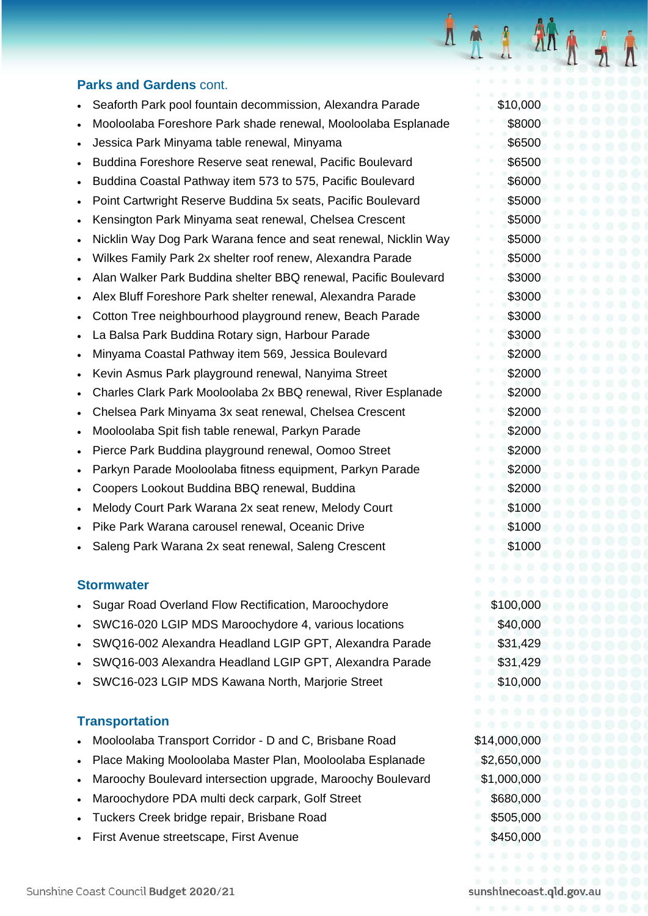#### **Parks and Gardens** cont.

- Seaforth Park pool fountain decommission, Alexandra Parade \$10,000
- Mooloolaba Foreshore Park shade renewal, Mooloolaba Esplanade \$8000
- Jessica Park Minyama table renewal, Minyama \$6500
- Buddina Foreshore Reserve seat renewal, Pacific Boulevard \$6500
- Buddina Coastal Pathway item 573 to 575, Pacific Boulevard \$6000
- Point Cartwright Reserve Buddina 5x seats, Pacific Boulevard \$5000
- Kensington Park Minyama seat renewal, Chelsea Crescent \$5000
- Nicklin Way Dog Park Warana fence and seat renewal, Nicklin Way \$5000
- Wilkes Family Park 2x shelter roof renew, Alexandra Parade \$5000
- Alan Walker Park Buddina shelter BBQ renewal, Pacific Boulevard \$3000
- Alex Bluff Foreshore Park shelter renewal, Alexandra Parade \$3000
- Cotton Tree neighbourhood playground renew, Beach Parade \$3000
- La Balsa Park Buddina Rotary sign, Harbour Parade  $$3000$
- Minyama Coastal Pathway item 569, Jessica Boulevard \$2000
- Kevin Asmus Park playground renewal, Nanyima Street \$2000
- Charles Clark Park Mooloolaba 2x BBQ renewal, River Esplanade \$2000
- **Chelsea Park Minyama 3x seat renewal, Chelsea Crescent \$2000 \$2000**
- Mooloolaba Spit fish table renewal, Parkyn Parade \$2000
- Pierce Park Buddina playground renewal, Oomoo Street \$2000
- Parkyn Parade Mooloolaba fitness equipment, Parkyn Parade \$2000
- **Coopers Lookout Buddina BBQ renewal, Buddina \$2000 \$2000 \$2000**
- Melody Court Park Warana 2x seat renew, Melody Court \$1000
- Pike Park Warana carousel renewal, Oceanic Drive **\$1000** \$1000
- Saleng Park Warana 2x seat renewal, Saleng Crescent \$1000

#### **Stormwater**

- Sugar Road Overland Flow Rectification, Maroochydore \$100,000
- SWC16-020 LGIP MDS Maroochydore 4, various locations \$40,000
- SWQ16-002 Alexandra Headland LGIP GPT, Alexandra Parade \$31,429
- SWQ16-003 Alexandra Headland LGIP GPT, Alexandra Parade \$31,429
- SWC16-023 LGIP MDS Kawana North, Marjorie Street \$10,000

#### **Transportation**

- Mooloolaba Transport Corridor D and C, Brisbane Road \$14,000,000
- Place Making Mooloolaba Master Plan, Mooloolaba Esplanade \$2,650,000
- Maroochy Boulevard intersection upgrade, Maroochy Boulevard \$1,000,000
- **Maroochydore PDA multi deck carpark, Golf Street \$680,000 \$680,000**
- Tuckers Creek bridge repair, Brisbane Road \$505,000
- **First Avenue streetscape, First Avenue**  $\frac{1}{2}$  **\$450,000**